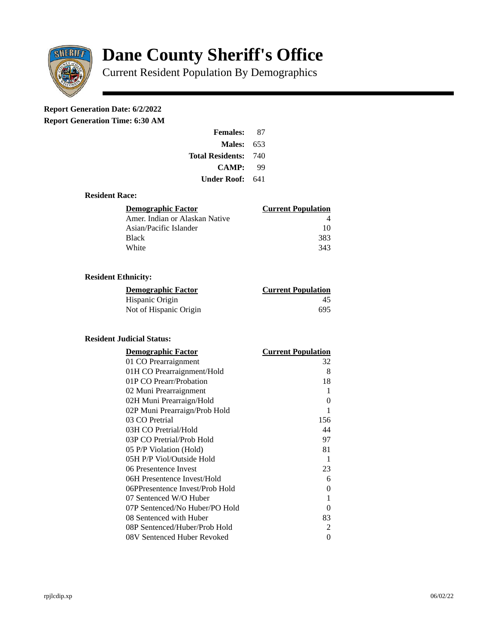

# **Dane County Sheriff's Office**

Current Resident Population By Demographics

## **Report Generation Date: 6/2/2022**

**Report Generation Time: 6:30 AM** 

| <b>Females:</b>         | 87  |
|-------------------------|-----|
| Males:                  | 653 |
| <b>Total Residents:</b> | 740 |
| <b>CAMP:</b>            | qq  |
| Under Roof: \           | 641 |

#### **Resident Race:**

| Demographic Factor             | <b>Current Population</b> |
|--------------------------------|---------------------------|
| Amer. Indian or Alaskan Native |                           |
| Asian/Pacific Islander         | 10                        |
| Black                          | 383                       |
| White                          | 343                       |

### **Resident Ethnicity:**

| <u>Demographic Factor</u> | <b>Current Population</b> |
|---------------------------|---------------------------|
| Hispanic Origin           | 45                        |
| Not of Hispanic Origin    | 695                       |

#### **Resident Judicial Status:**

| <u>Demographic Factor</u>       | <u>Current Population</u> |
|---------------------------------|---------------------------|
| 01 CO Prearraignment            | 32                        |
| 01H CO Prearraignment/Hold      | 8                         |
| 01P CO Prearr/Probation         | 18                        |
| 02 Muni Prearraignment          | 1                         |
| 02H Muni Prearraign/Hold        | 0                         |
| 02P Muni Prearraign/Prob Hold   | 1                         |
| 03 CO Pretrial                  | 156                       |
| 03H CO Pretrial/Hold            | 44                        |
| 03P CO Pretrial/Prob Hold       | 97                        |
| 05 P/P Violation (Hold)         | 81                        |
| 05H P/P Viol/Outside Hold       | 1                         |
| 06 Presentence Invest           | 23                        |
| 06H Presentence Invest/Hold     | 6                         |
| 06PPresentence Invest/Prob Hold | 0                         |
| 07 Sentenced W/O Huber          | 1                         |
| 07P Sentenced/No Huber/PO Hold  | 0                         |
| 08 Sentenced with Huber         | 83                        |
| 08P Sentenced/Huber/Prob Hold   | 2                         |
| 08V Sentenced Huber Revoked     | 0                         |